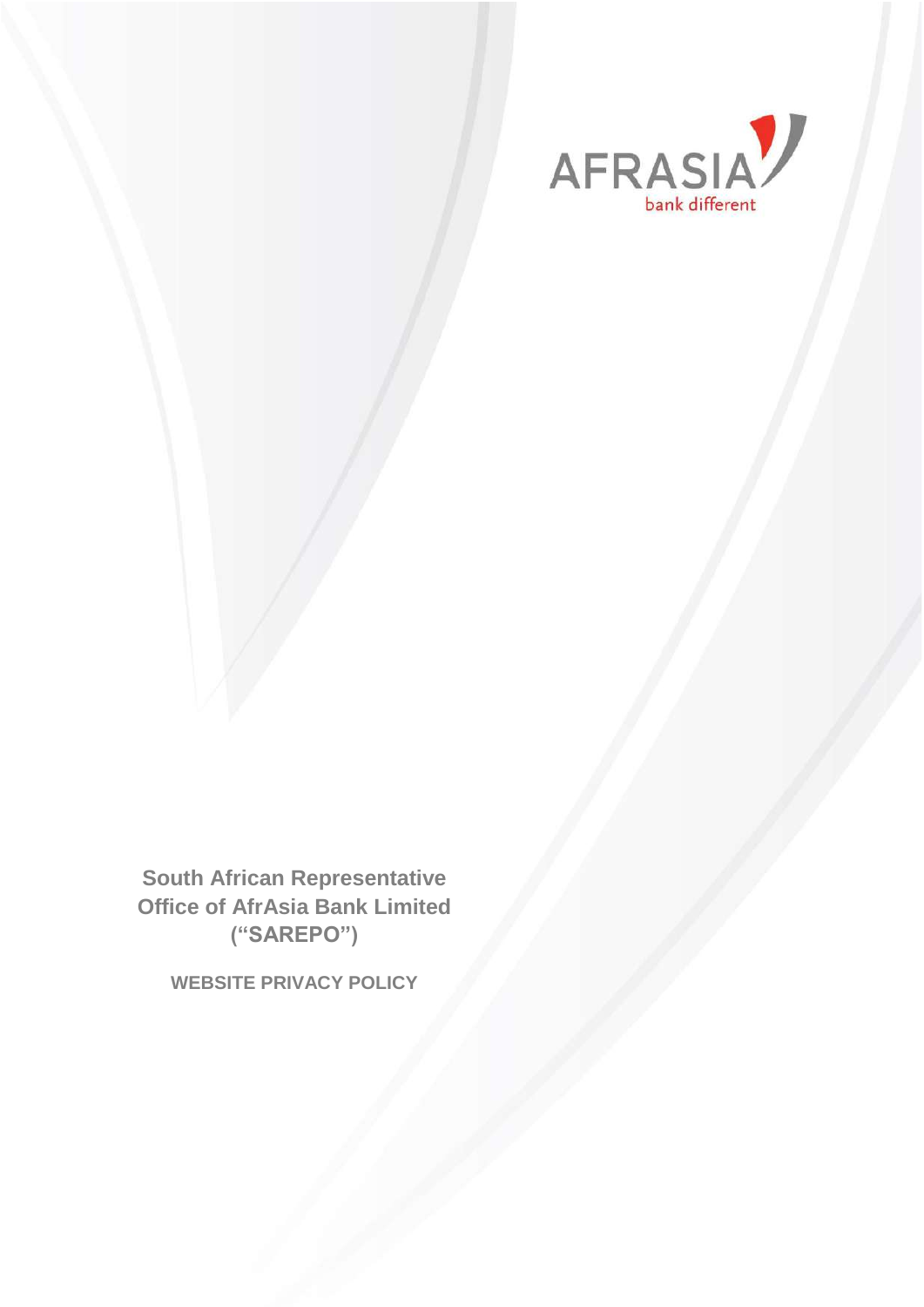

**South African Representative Office of AfrAsia Bank Limited ("SAREPO")** 

**WEBSITE PRIVACY POLICY**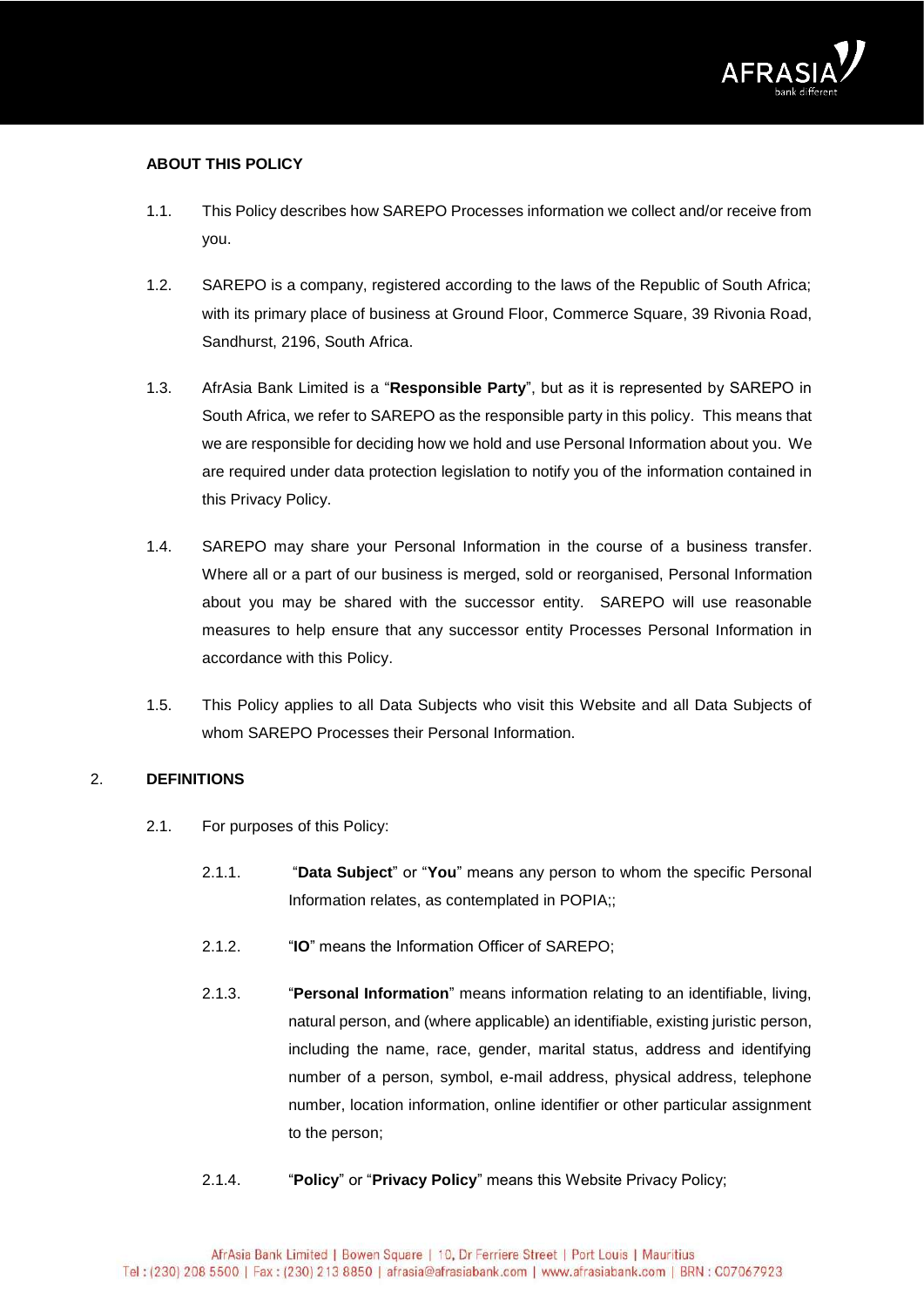

## **ABOUT THIS POLICY**

- 1.1. This Policy describes how SAREPO Processes information we collect and/or receive from you.
- 1.2. SAREPO is a company, registered according to the laws of the Republic of South Africa; with its primary place of business at Ground Floor, Commerce Square, 39 Rivonia Road, Sandhurst, 2196, South Africa.
- 1.3. AfrAsia Bank Limited is a "**Responsible Party**", but as it is represented by SAREPO in South Africa, we refer to SAREPO as the responsible party in this policy. This means that we are responsible for deciding how we hold and use Personal Information about you. We are required under data protection legislation to notify you of the information contained in this Privacy Policy.
- 1.4. SAREPO may share your Personal Information in the course of a business transfer. Where all or a part of our business is merged, sold or reorganised, Personal Information about you may be shared with the successor entity. SAREPO will use reasonable measures to help ensure that any successor entity Processes Personal Information in accordance with this Policy.
- 1.5. This Policy applies to all Data Subjects who visit this Website and all Data Subjects of whom SAREPO Processes their Personal Information.

## 2. **DEFINITIONS**

- 2.1. For purposes of this Policy:
	- 2.1.1. "**Data Subject**" or "**You**" means any person to whom the specific Personal Information relates, as contemplated in POPIA::
	- 2.1.2. "**IO**" means the Information Officer of SAREPO;
	- 2.1.3. "**Personal Information**" means information relating to an identifiable, living, natural person, and (where applicable) an identifiable, existing juristic person, including the name, race, gender, marital status, address and identifying number of a person, symbol, e-mail address, physical address, telephone number, location information, online identifier or other particular assignment to the person;
	- 2.1.4. "**Policy**" or "**Privacy Policy**" means this Website Privacy Policy;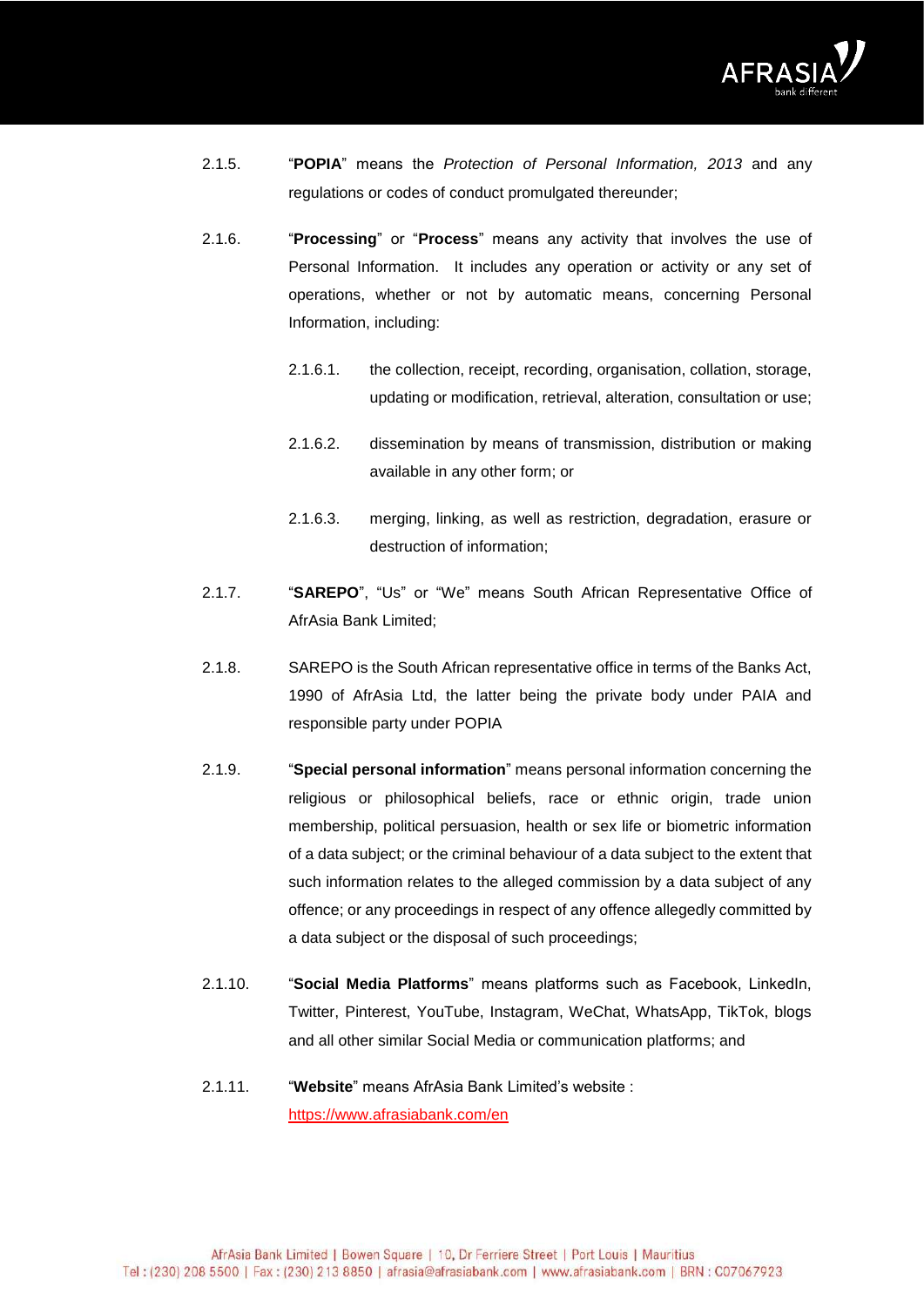

- 2.1.5. "**POPIA**" means the *Protection of Personal Information, 2013* and any regulations or codes of conduct promulgated thereunder;
- 2.1.6. "**Processing**" or "**Process**" means any activity that involves the use of Personal Information. It includes any operation or activity or any set of operations, whether or not by automatic means, concerning Personal Information, including:
	- 2.1.6.1. the collection, receipt, recording, organisation, collation, storage, updating or modification, retrieval, alteration, consultation or use;
	- 2.1.6.2. dissemination by means of transmission, distribution or making available in any other form; or
	- 2.1.6.3. merging, linking, as well as restriction, degradation, erasure or destruction of information;
- 2.1.7. "**SAREPO**", "Us" or "We" means South African Representative Office of AfrAsia Bank Limited;
- 2.1.8. SAREPO is the South African representative office in terms of the Banks Act, 1990 of AfrAsia Ltd, the latter being the private body under PAIA and responsible party under POPIA
- 2.1.9. "**Special personal information**" means personal information concerning the religious or philosophical beliefs, race or ethnic origin, trade union membership, political persuasion, health or sex life or biometric information of a data subject; or the criminal behaviour of a data subject to the extent that such information relates to the alleged commission by a data subject of any offence; or any proceedings in respect of any offence allegedly committed by a data subject or the disposal of such proceedings;
- 2.1.10. "**Social Media Platforms**" means platforms such as Facebook, LinkedIn, Twitter, Pinterest, YouTube, Instagram, WeChat, WhatsApp, TikTok, blogs and all other similar Social Media or communication platforms; and
- 2.1.11. "**Website**" means AfrAsia Bank Limited's website : <https://www.afrasiabank.com/en>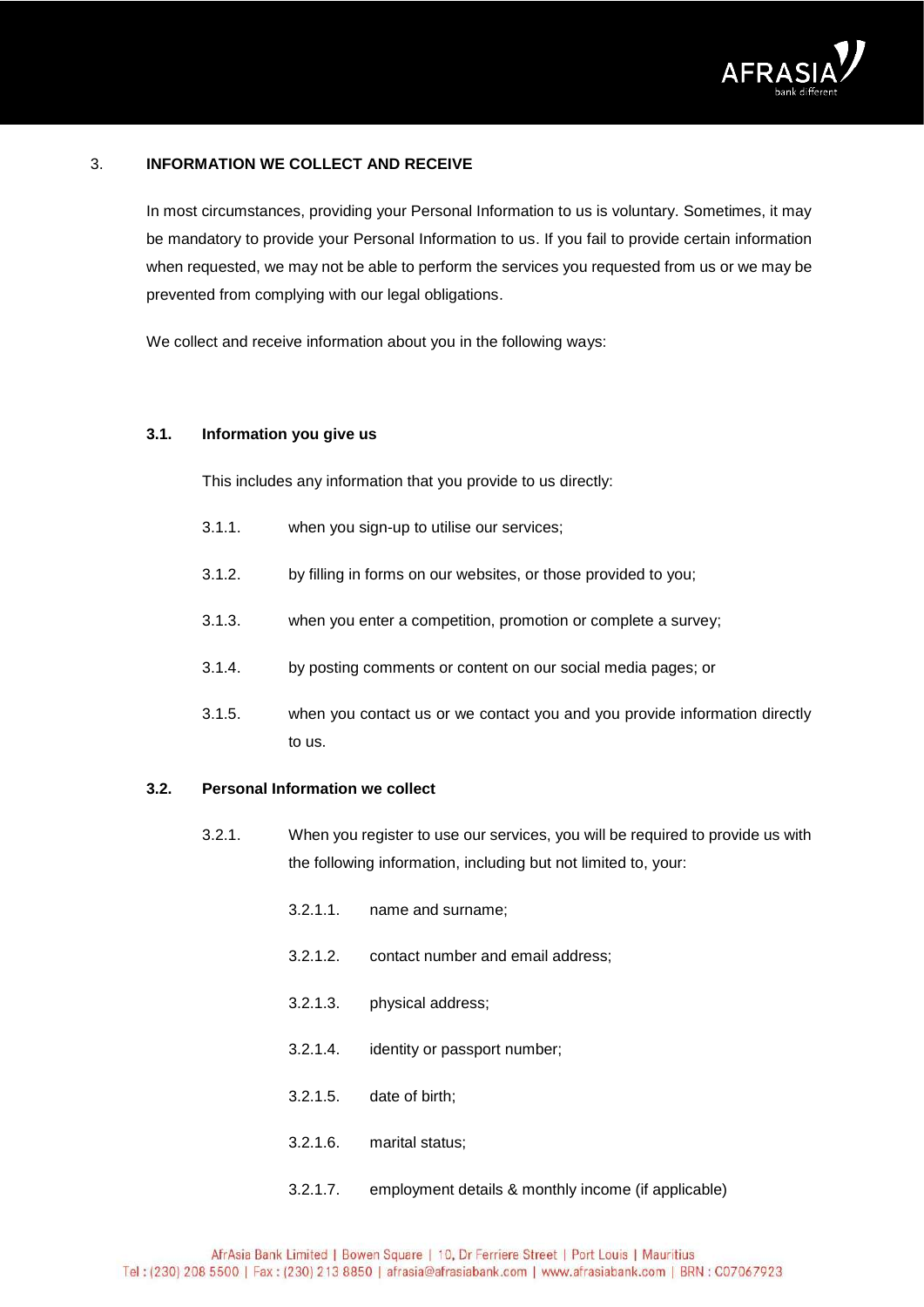

## 3. **INFORMATION WE COLLECT AND RECEIVE**

In most circumstances, providing your Personal Information to us is voluntary. Sometimes, it may be mandatory to provide your Personal Information to us. If you fail to provide certain information when requested, we may not be able to perform the services you requested from us or we may be prevented from complying with our legal obligations.

We collect and receive information about you in the following ways:

## **3.1. Information you give us**

This includes any information that you provide to us directly:

- 3.1.1. when you sign-up to utilise our services;
- 3.1.2. by filling in forms on our websites, or those provided to you;
- 3.1.3. when you enter a competition, promotion or complete a survey;
- 3.1.4. by posting comments or content on our social media pages; or
- 3.1.5. when you contact us or we contact you and you provide information directly to us.

#### **3.2. Personal Information we collect**

- 3.2.1. When you register to use our services, you will be required to provide us with the following information, including but not limited to, your:
	- 3.2.1.1. name and surname;
	- 3.2.1.2. contact number and email address;
	- 3.2.1.3. physical address;
	- 3.2.1.4. identity or passport number;
	- 3.2.1.5. date of birth;
	- 3.2.1.6. marital status;
	- 3.2.1.7. employment details & monthly income (if applicable)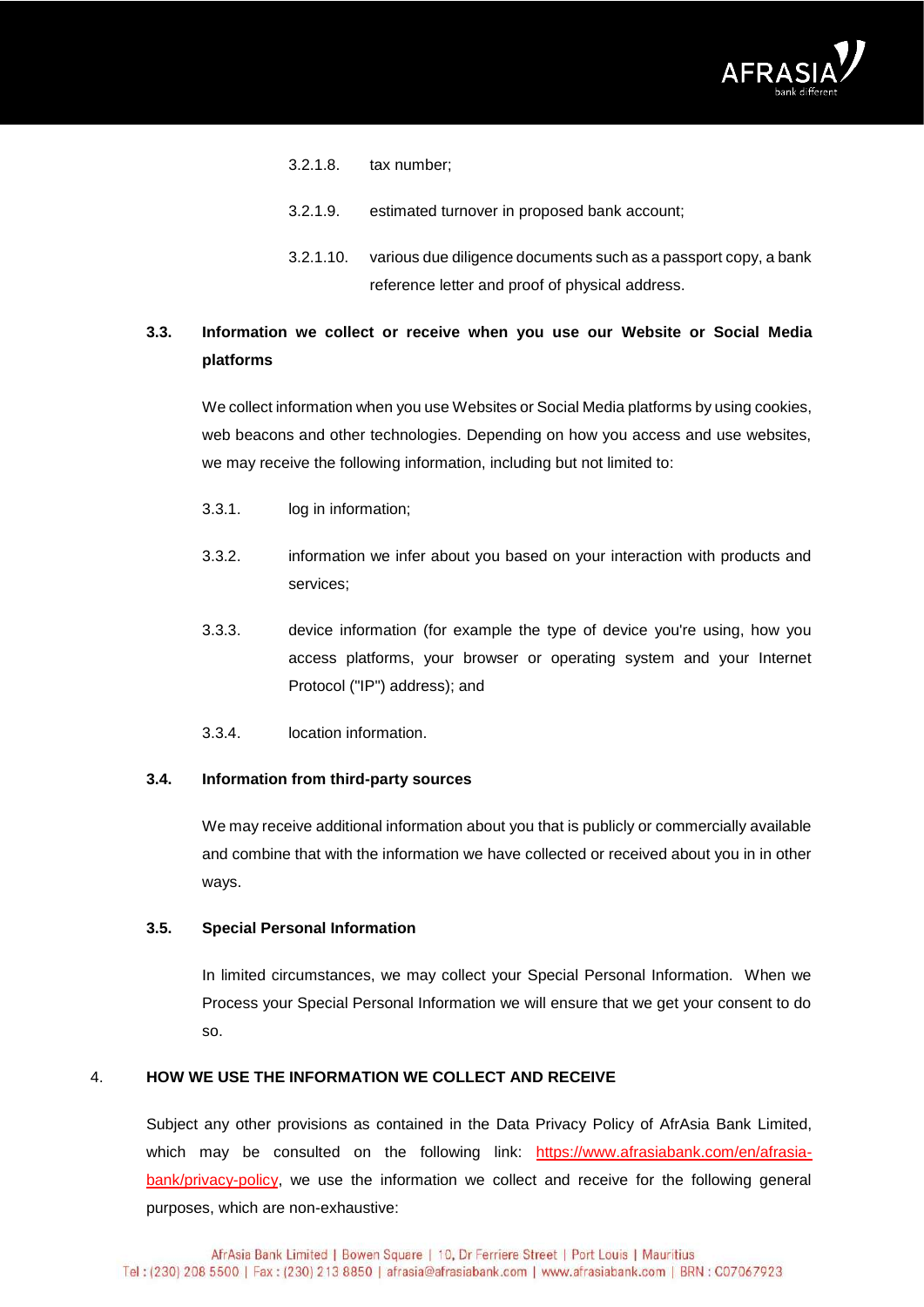

- 3.2.1.8. tax number;
- 3.2.1.9. estimated turnover in proposed bank account;
- 3.2.1.10. various due diligence documents such as a passport copy, a bank reference letter and proof of physical address.

# **3.3. Information we collect or receive when you use our Website or Social Media platforms**

We collect information when you use Websites or Social Media platforms by using cookies, web beacons and other technologies. Depending on how you access and use websites, we may receive the following information, including but not limited to:

- 3.3.1. log in information;
- 3.3.2. information we infer about you based on your interaction with products and services;
- 3.3.3. device information (for example the type of device you're using, how you access platforms, your browser or operating system and your Internet Protocol ("IP") address); and
- 3.3.4. location information.

## **3.4. Information from third-party sources**

We may receive additional information about you that is publicly or commercially available and combine that with the information we have collected or received about you in in other ways.

#### **3.5. Special Personal Information**

In limited circumstances, we may collect your Special Personal Information. When we Process your Special Personal Information we will ensure that we get your consent to do so.

## 4. **HOW WE USE THE INFORMATION WE COLLECT AND RECEIVE**

Subject any other provisions as contained in the Data Privacy Policy of AfrAsia Bank Limited, which may be consulted on the following link: [https://www.afrasiabank.com/en/afrasia](https://www.afrasiabank.com/en/afrasia-bank/privacy-policy)[bank/privacy-policy,](https://www.afrasiabank.com/en/afrasia-bank/privacy-policy) we use the information we collect and receive for the following general purposes, which are non-exhaustive: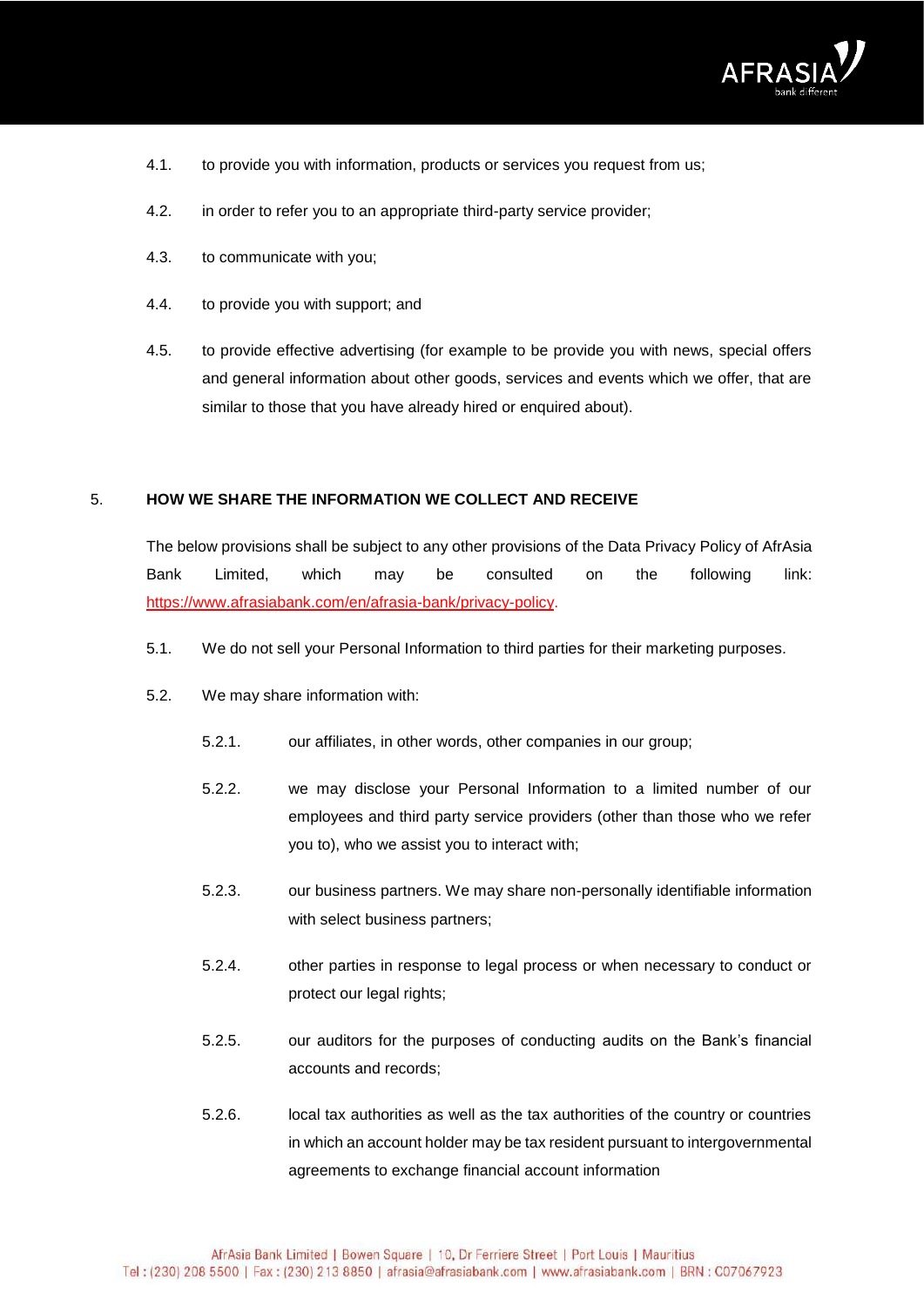

- 4.1. to provide you with information, products or services you request from us;
- 4.2. in order to refer you to an appropriate third-party service provider;
- 4.3. to communicate with you;
- 4.4. to provide you with support; and
- 4.5. to provide effective advertising (for example to be provide you with news, special offers and general information about other goods, services and events which we offer, that are similar to those that you have already hired or enquired about).

#### 5. **HOW WE SHARE THE INFORMATION WE COLLECT AND RECEIVE**

The below provisions shall be subject to any other provisions of the Data Privacy Policy of AfrAsia Bank Limited, which may be consulted on the following link: [https://www.afrasiabank.com/en/afrasia-bank/privacy-policy.](https://www.afrasiabank.com/en/afrasia-bank/privacy-policy)

- 5.1. We do not sell your Personal Information to third parties for their marketing purposes.
- 5.2. We may share information with:
	- 5.2.1. our affiliates, in other words, other companies in our group;
	- 5.2.2. we may disclose your Personal Information to a limited number of our employees and third party service providers (other than those who we refer you to), who we assist you to interact with;
	- 5.2.3. our business partners. We may share non-personally identifiable information with select business partners;
	- 5.2.4. other parties in response to legal process or when necessary to conduct or protect our legal rights;
	- 5.2.5. our auditors for the purposes of conducting audits on the Bank's financial accounts and records;
	- 5.2.6. local tax authorities as well as the tax authorities of the country or countries in which an account holder may be tax resident pursuant to intergovernmental agreements to exchange financial account information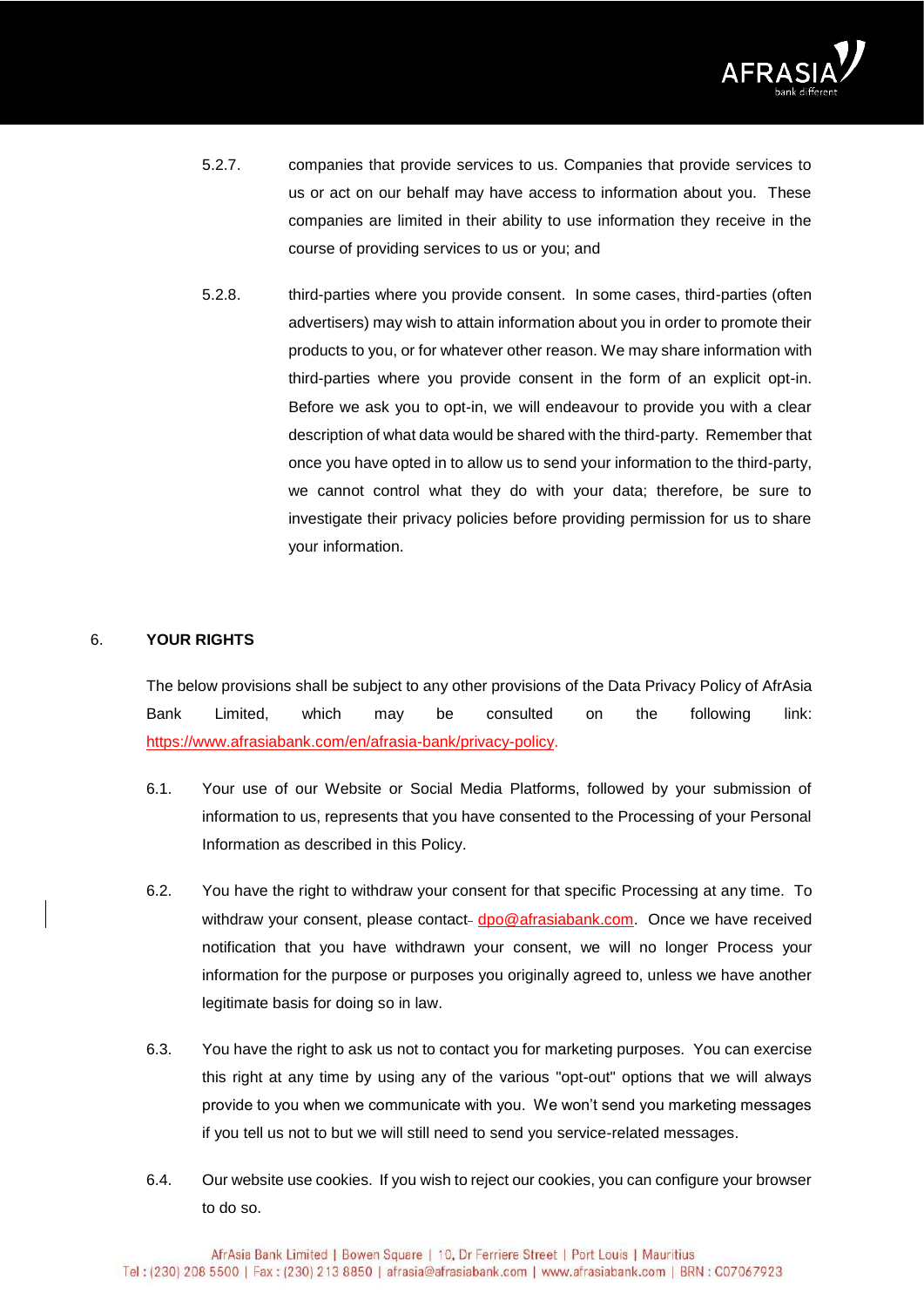

- 5.2.7. companies that provide services to us. Companies that provide services to us or act on our behalf may have access to information about you. These companies are limited in their ability to use information they receive in the course of providing services to us or you; and
- 5.2.8. third-parties where you provide consent. In some cases, third-parties (often advertisers) may wish to attain information about you in order to promote their products to you, or for whatever other reason. We may share information with third-parties where you provide consent in the form of an explicit opt-in. Before we ask you to opt-in, we will endeavour to provide you with a clear description of what data would be shared with the third-party. Remember that once you have opted in to allow us to send your information to the third-party, we cannot control what they do with your data; therefore, be sure to investigate their privacy policies before providing permission for us to share your information.

#### 6. **YOUR RIGHTS**

The below provisions shall be subject to any other provisions of the Data Privacy Policy of AfrAsia Bank Limited, which may be consulted on the following link: [https://www.afrasiabank.com/en/afrasia-bank/privacy-policy.](https://www.afrasiabank.com/en/afrasia-bank/privacy-policy)

- 6.1. Your use of our Website or Social Media Platforms, followed by your submission of information to us, represents that you have consented to the Processing of your Personal Information as described in this Policy.
- 6.2. You have the right to withdraw your consent for that specific Processing at any time. To withdraw your consent, please contact- $\text{dpo@afrasiabank.com}$ . Once we have received notification that you have withdrawn your consent, we will no longer Process your information for the purpose or purposes you originally agreed to, unless we have another legitimate basis for doing so in law.
- 6.3. You have the right to ask us not to contact you for marketing purposes. You can exercise this right at any time by using any of the various "opt-out" options that we will always provide to you when we communicate with you. We won't send you marketing messages if you tell us not to but we will still need to send you service-related messages.
- 6.4. Our website use cookies. If you wish to reject our cookies, you can configure your browser to do so.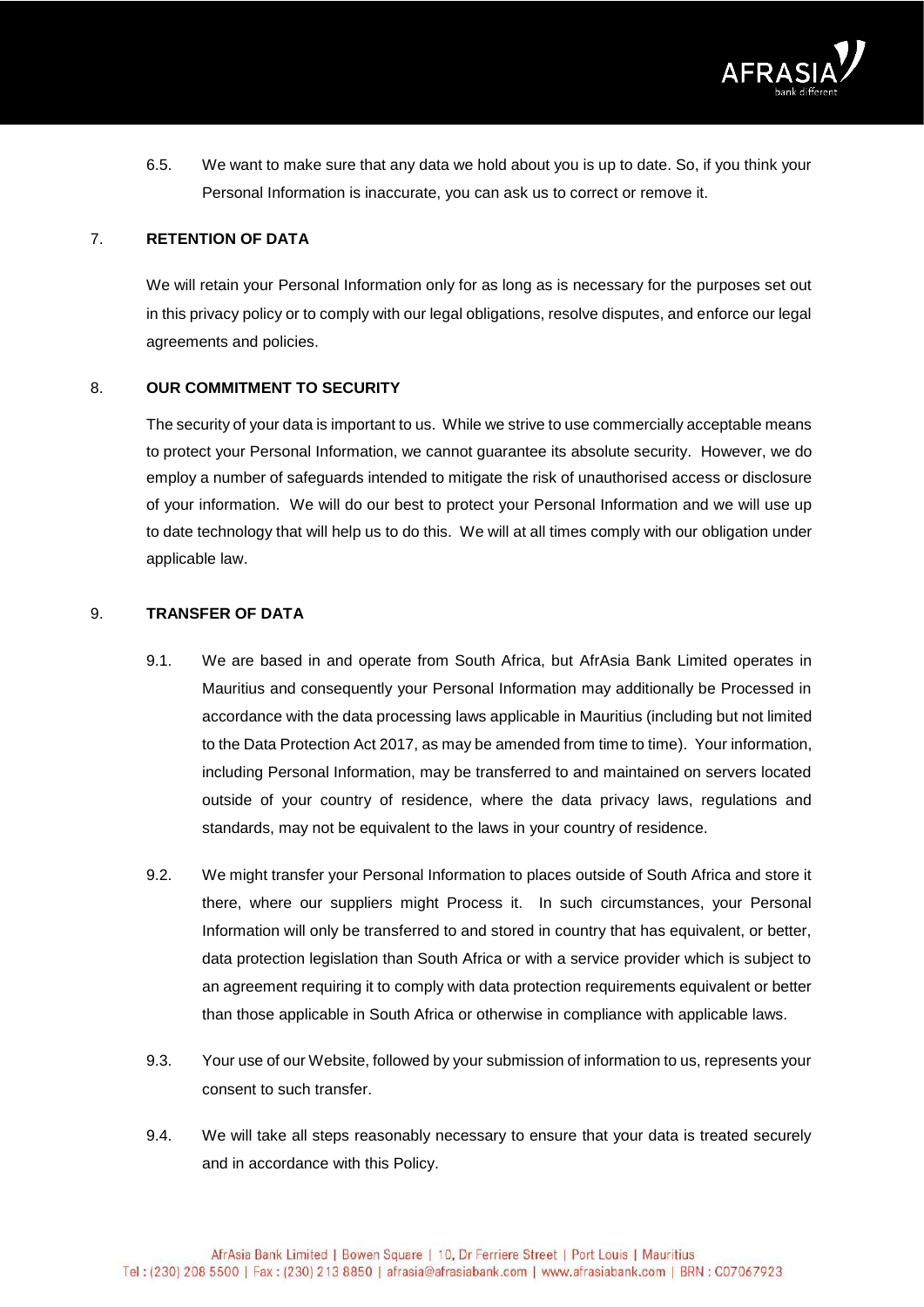

6.5. We want to make sure that any data we hold about you is up to date. So, if you think your Personal Information is inaccurate, you can ask us to correct or remove it.

## 7. **RETENTION OF DATA**

We will retain your Personal Information only for as long as is necessary for the purposes set out in this privacy policy or to comply with our legal obligations, resolve disputes, and enforce our legal agreements and policies.

## 8. **OUR COMMITMENT TO SECURITY**

The security of your data is important to us. While we strive to use commercially acceptable means to protect your Personal Information, we cannot guarantee its absolute security. However, we do employ a number of safeguards intended to mitigate the risk of unauthorised access or disclosure of your information. We will do our best to protect your Personal Information and we will use up to date technology that will help us to do this. We will at all times comply with our obligation under applicable law.

#### 9. **TRANSFER OF DATA**

- 9.1. We are based in and operate from South Africa, but AfrAsia Bank Limited operates in Mauritius and consequently your Personal Information may additionally be Processed in accordance with the data processing laws applicable in Mauritius (including but not limited to the Data Protection Act 2017, as may be amended from time to time). Your information, including Personal Information, may be transferred to and maintained on servers located outside of your country of residence, where the data privacy laws, regulations and standards, may not be equivalent to the laws in your country of residence.
- 9.2. We might transfer your Personal Information to places outside of South Africa and store it there, where our suppliers might Process it. In such circumstances, your Personal Information will only be transferred to and stored in country that has equivalent, or better, data protection legislation than South Africa or with a service provider which is subject to an agreement requiring it to comply with data protection requirements equivalent or better than those applicable in South Africa or otherwise in compliance with applicable laws.
- 9.3. Your use of our Website, followed by your submission of information to us, represents your consent to such transfer.
- 9.4. We will take all steps reasonably necessary to ensure that your data is treated securely and in accordance with this Policy.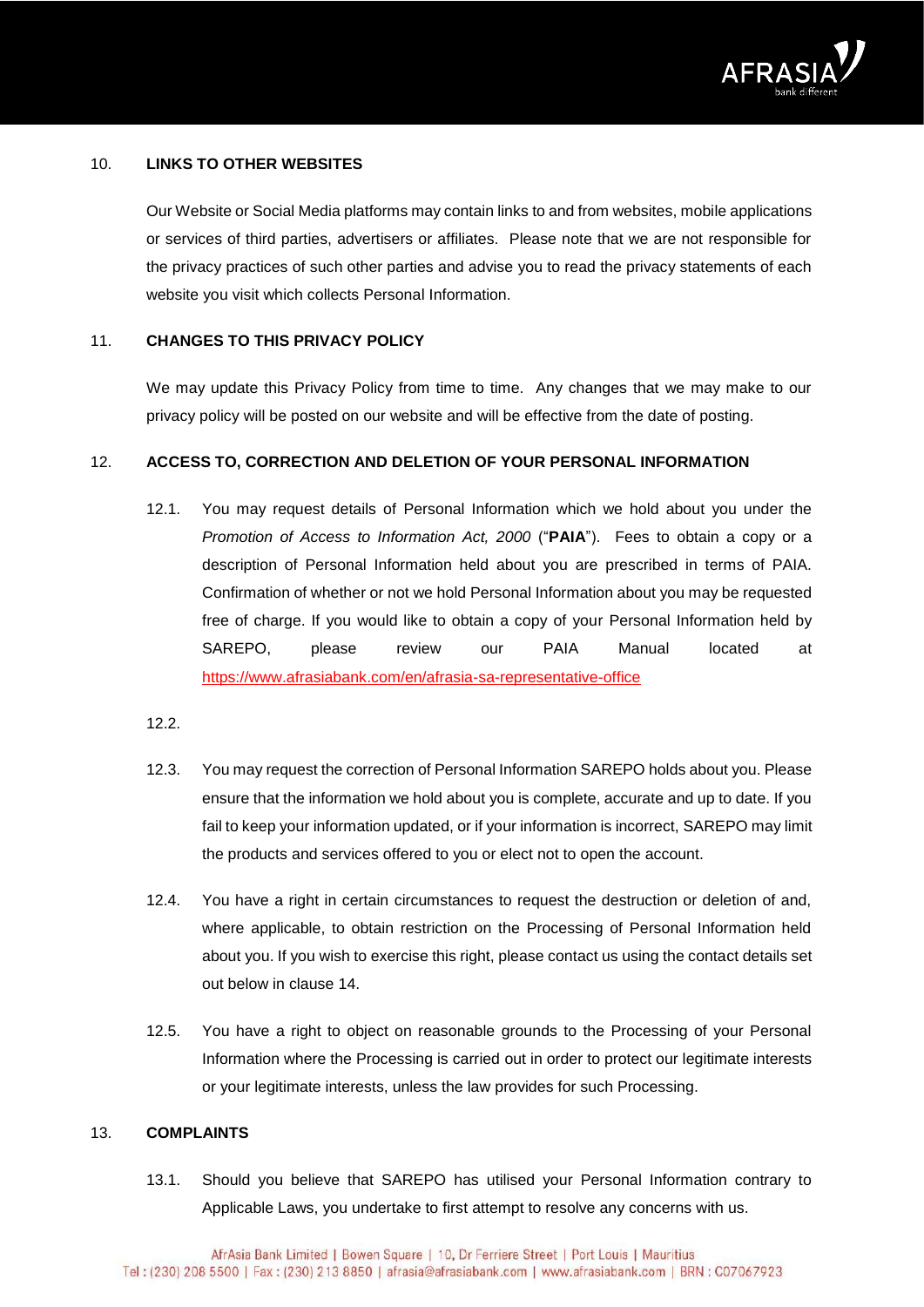

## 10. **LINKS TO OTHER WEBSITES**

Our Website or Social Media platforms may contain links to and from websites, mobile applications or services of third parties, advertisers or affiliates. Please note that we are not responsible for the privacy practices of such other parties and advise you to read the privacy statements of each website you visit which collects Personal Information.

## 11. **CHANGES TO THIS PRIVACY POLICY**

We may update this Privacy Policy from time to time. Any changes that we may make to our privacy policy will be posted on our website and will be effective from the date of posting.

## 12. **ACCESS TO, CORRECTION AND DELETION OF YOUR PERSONAL INFORMATION**

12.1. You may request details of Personal Information which we hold about you under the *Promotion of Access to Information Act, 2000* ("**PAIA**"). Fees to obtain a copy or a description of Personal Information held about you are prescribed in terms of PAIA. Confirmation of whether or not we hold Personal Information about you may be requested free of charge. If you would like to obtain a copy of your Personal Information held by SAREPO, please review our PAIA Manual located at <https://www.afrasiabank.com/en/afrasia-sa-representative-office>

12.2.

- 12.3. You may request the correction of Personal Information SAREPO holds about you. Please ensure that the information we hold about you is complete, accurate and up to date. If you fail to keep your information updated, or if your information is incorrect, SAREPO may limit the products and services offered to you or elect not to open the account.
- 12.4. You have a right in certain circumstances to request the destruction or deletion of and, where applicable, to obtain restriction on the Processing of Personal Information held about you. If you wish to exercise this right, please contact us using the contact details set out below in clause [14.](#page-9-0)
- 12.5. You have a right to object on reasonable grounds to the Processing of your Personal Information where the Processing is carried out in order to protect our legitimate interests or your legitimate interests, unless the law provides for such Processing.

#### 13. **COMPLAINTS**

13.1. Should you believe that SAREPO has utilised your Personal Information contrary to Applicable Laws, you undertake to first attempt to resolve any concerns with us.